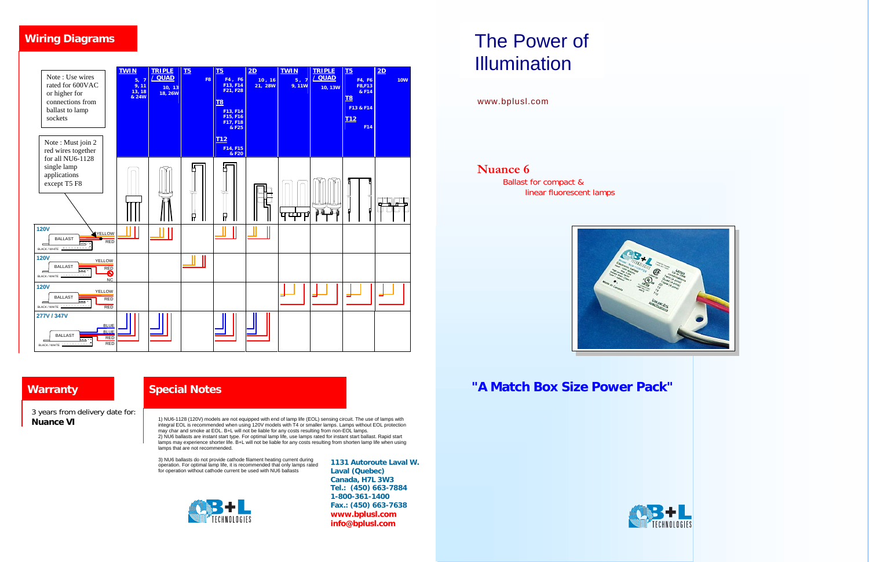# The Power of Illumination

www.bplusl.com

**Nuance 6** 

Ballast for compact & linear fluorescent lamps



**Warranty "A Match Box Size Power Pack"**

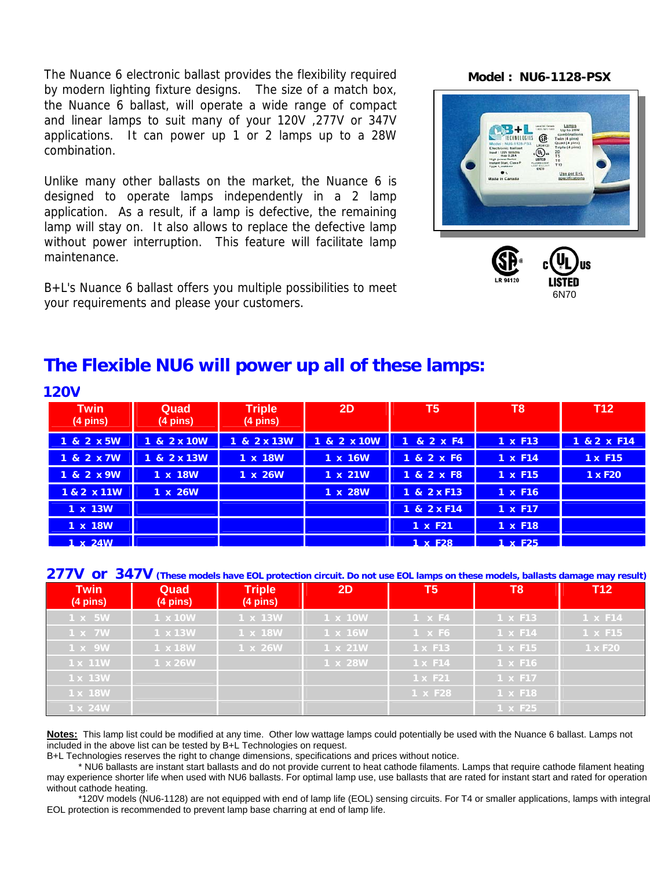The Nuance 6 electronic ballast provides the flexibility required by modern lighting fixture designs. The size of a match box, the Nuance 6 ballast, will operate a wide range of compact and linear lamps to suit many of your 120V ,277V or 347V applications. It can power up 1 or 2 lamps up to a 28W combination.

Unlike many other ballasts on the market, the Nuance 6 is designed to operate lamps independently in a 2 lamp application. As a result, if a lamp is defective, the remaining lamp will stay on. It also allows to replace the defective lamp without power interruption. This feature will facilitate lamp maintenance.

B+L's Nuance 6 ballast offers you multiple possibilities to meet your requirements and please your customers.

**Model : NU6-1128-PSX**





## **The Flexible NU6 will power up all of these lamps:**

| <b>120V</b>                       |                            |                                     |             |                           |                |                     |  |  |
|-----------------------------------|----------------------------|-------------------------------------|-------------|---------------------------|----------------|---------------------|--|--|
| <b>Twin</b><br>$(4 \text{ pins})$ | Quad<br>$(4 \text{ pins})$ | <b>Triple</b><br>$(4 \text{ pins})$ | 2D          | $\overline{\mathsf{T}}$ 5 | T <sub>8</sub> | <b>T12</b>          |  |  |
| 1 & 2 x 5W                        | 1 & 2 x 10W                | 1 & 2 x 13W                         | 1 & 2 x 10W | 1 & 2 x F4                | 1 x F13        | 1 & 2 x F14         |  |  |
| 1 & 2 x 7W                        | 1 & 2 x 13W                | 1 x 18W                             | 1 x 16W     | 1 & 2 x F6                | 1 x F14        | 1 x F15             |  |  |
| 1 & 2 x 9W                        | 1 x 18W                    | 1 x 26W                             | 1 x 21W     | 1 & 2 x F8                | 1 x F15        | 1 x F <sub>20</sub> |  |  |
| 1 & 2 x 11W                       | 1 x 26W                    |                                     | 1 x 28W     | 1 & 2 x F13               | 1 x F16        |                     |  |  |
| 1 x 13W                           |                            |                                     |             | 1 & 2 x F14               | 1 x F17        |                     |  |  |
| 1 x 18W                           |                            |                                     |             | 1 x F21                   | 1 x F18        |                     |  |  |
| 1 x 24W                           |                            |                                     |             | $1 \times F28$            | $1 \times F25$ |                     |  |  |

**277V or 347V (These models have EOL protection circuit. Do not use EOL lamps on these models, ballasts damage may result)**

| <b>Twin</b><br>$(4 \text{ pins})$ | Quad<br>$(4 \text{ pins})$ | <b>Triple</b><br>$(4 \text{ pins})$ | 2D      | T <sub>5</sub> | T <sub>8</sub> | <b>T12</b> |
|-----------------------------------|----------------------------|-------------------------------------|---------|----------------|----------------|------------|
| 1 x 5W                            | 1 x 10W                    | 1 x 13W                             | 1 x 10W | $1 \times F4$  | 1 x F13        | 1 x F14    |
| 1 x 7W                            | 1 x 13W                    | 1 x 18W                             | 1 x 16W | $1 \times F6$  | 1 x F14        | 1 x F15    |
| 1 x 9W                            | 1 x 18W                    | 1 x 26W                             | 1 x 21W | 1 x F13        | 1 x F15        | 1 x F20    |
| 1 x 11W                           | $1 \times 26W$             |                                     | 1 x 28W | 1 x F14        | 1 x F16        |            |
| 1 x 13W                           |                            |                                     |         | 1 x F21        | 1 x F17        |            |
| 1 x 18W                           |                            |                                     |         | 1 x F28        | 1 x F18        |            |
| 1 x 24W                           |                            |                                     |         |                | 1 x F25        |            |

**Notes:** This lamp list could be modified at any time. Other low wattage lamps could potentially be used with the Nuance 6 ballast. Lamps not included in the above list can be tested by B+L Technologies on request.

B+L Technologies reserves the right to change dimensions, specifications and prices without notice.

\* NU6 ballasts are instant start ballasts and do not provide current to heat cathode filaments. Lamps that require cathode filament heating may experience shorter life when used with NU6 ballasts. For optimal lamp use, use ballasts that are rated for instant start and rated for operation without cathode heating.

\*120V models (NU6-1128) are not equipped with end of lamp life (EOL) sensing circuits. For T4 or smaller applications, lamps with integral EOL protection is recommended to prevent lamp base charring at end of lamp life.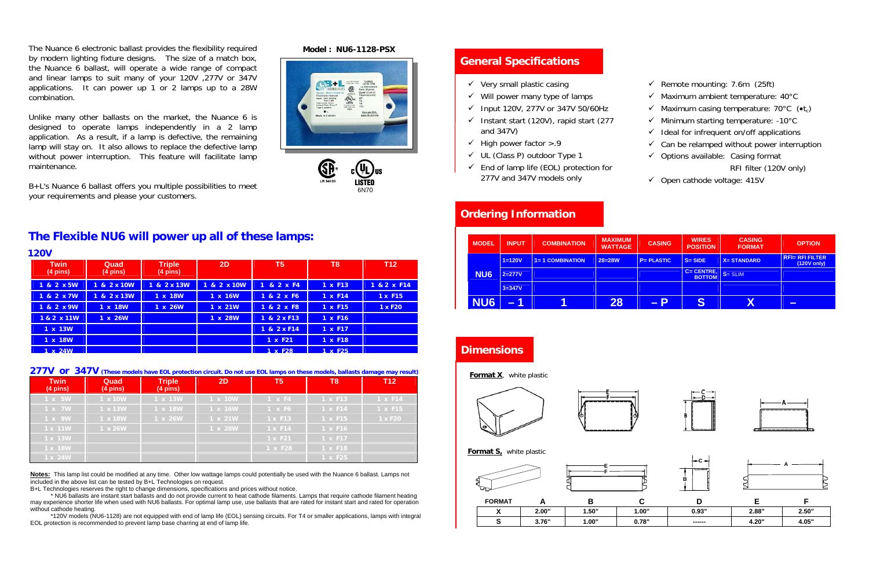### **General Specifications**

- $\checkmark$  Very small plastic casing
- $\checkmark$  Will power many type of lamps
- $\checkmark$  Input 120V, 277V or 347V 50/60Hz
- $\checkmark$  Instant start (120V), rapid start (277 and 347V)
- $\checkmark$  High power factor >.9
- $\checkmark$  UL (Class P) outdoor Type 1
- $\checkmark$  End of lamp life (EOL) protection for 277V and 347V models only
- $\checkmark$  Remote mounting: 7.6m (25ft)
- $\checkmark$  Maximum ambient temperature: 40 $^{\circ}$ C
- $\checkmark$  Maximum casing temperature: 70°C ( $\checkmark$ t<sub>c</sub>)
- $\checkmark$  Minimum starting temperature: -10°C
- $\checkmark$  Ideal for infrequent on/off applications
- $\checkmark$  Can be relamped without power interruption
- $\checkmark$  Options available: Casing format RFI filter (120V only)
- $\checkmark$  Open cathode voltage: 415V

|  |  |  | <b>Ordering Information</b> |  |
|--|--|--|-----------------------------|--|
|  |  |  |                             |  |
|  |  |  |                             |  |

| <b>MODEL</b>    | <b>INPUT</b> | <b>COMBINATION</b>      | <b>MAXIMUM</b><br><b>WATTAGE</b> | <b>CASING</b>      | <b>WIRES</b><br><b>POSITION</b> | <b>CASING</b><br><b>FORMAT</b> | <b>OPTION</b>                            |
|-----------------|--------------|-------------------------|----------------------------------|--------------------|---------------------------------|--------------------------------|------------------------------------------|
|                 | $1 = 120V$   | <b>1= 1 COMBINATION</b> | $28 = 28W$                       | P= PLASTIC         | $S = SIDE$                      | <b>X=STANDARD</b>              | <b>RFI= RFI FILTER</b><br>$(120V)$ only) |
| NU <sub>6</sub> | $2 = 277V$   |                         |                                  |                    | C= CENTRE,<br><b>BOTTOM</b>     | $S = SLIM$                     |                                          |
|                 | $3 = 347V$   |                         |                                  |                    |                                 |                                |                                          |
| NU <sub>6</sub> | $-1$         |                         | 28                               | $\blacktriangle$ P | S                               | $\overline{\textsf{X}}$        | $\overline{\phantom{0}}$                 |

#### **Dimensions**

**Format X**, white plastic









**Format S**, white plastic